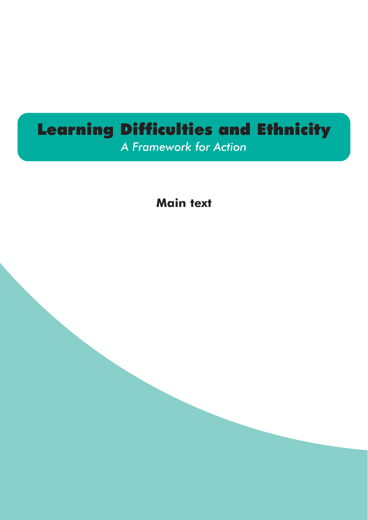# Learning Difficulties and Ethnicity

*A Framework for Action*

**Main text**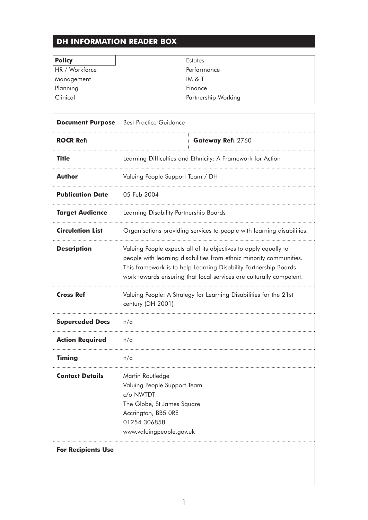# **DH INFORMATION READER BOX**

 $\overline{\phantom{0}}$ 

| <b>Policy</b>  | <b>Estates</b>      |
|----------------|---------------------|
| HR / Workforce | Performance         |
| Management     | IM & T              |
| Planning       | Finance             |
| Clinical       | Partnership Working |
|                |                     |

٦

|                           | <b>Document Purpose</b> Best Practice Guidance                                                                                                                                                                                                                                     |                   |  |
|---------------------------|------------------------------------------------------------------------------------------------------------------------------------------------------------------------------------------------------------------------------------------------------------------------------------|-------------------|--|
| <b>ROCR Ref:</b>          |                                                                                                                                                                                                                                                                                    | Gateway Ref: 2760 |  |
| <b>Title</b>              | Learning Difficulties and Ethnicity: A Framework for Action                                                                                                                                                                                                                        |                   |  |
| <b>Author</b>             | Valuing People Support Team / DH                                                                                                                                                                                                                                                   |                   |  |
| <b>Publication Date</b>   | 05 Feb 2004                                                                                                                                                                                                                                                                        |                   |  |
| <b>Target Audience</b>    | Learning Disability Partnership Boards                                                                                                                                                                                                                                             |                   |  |
| <b>Circulation List</b>   | Organisations providing services to people with learning disabilities.                                                                                                                                                                                                             |                   |  |
| <b>Description</b>        | Valuing People expects all of its objectives to apply equally to<br>people with learning disabilities from ethnic minority communities.<br>This framework is to help Learning Disability Partnership Boards<br>work towards ensuring that local services are culturally competent. |                   |  |
| <b>Cross Ref</b>          | Valuing People: A Strategy for Learning Disabilities for the 21st<br>century (DH 2001)                                                                                                                                                                                             |                   |  |
| <b>Superceded Docs</b>    | n/a                                                                                                                                                                                                                                                                                |                   |  |
| <b>Action Required</b>    | n/a                                                                                                                                                                                                                                                                                |                   |  |
| <b>Timing</b>             | n/a                                                                                                                                                                                                                                                                                |                   |  |
| <b>Contact Details</b>    | Martin Routledge<br>Valuing People Support Team<br>c/o NWTDT<br>The Globe, St James Square<br>Accrington, BB5 ORE<br>01254 306858<br>www.valuingpeople.gov.uk                                                                                                                      |                   |  |
| <b>For Recipients Use</b> |                                                                                                                                                                                                                                                                                    |                   |  |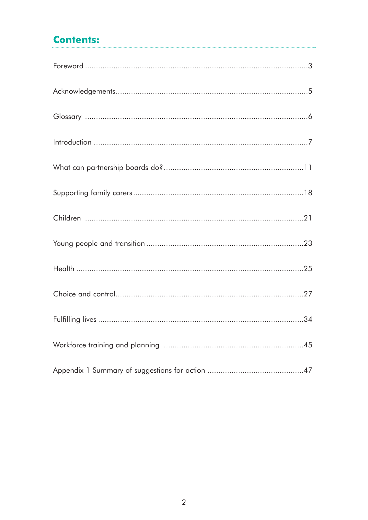# **Contents:**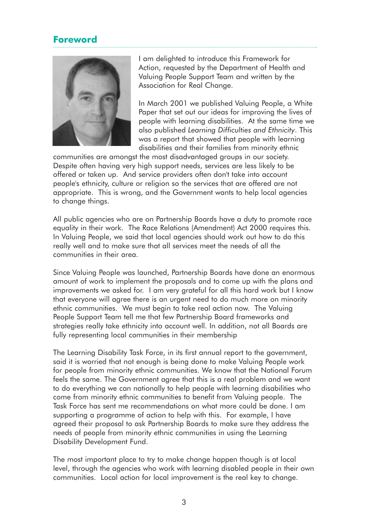# **Foreword**



I am delighted to introduce this Framework for Action, requested by the Department of Health and Valuing People Support Team and written by the Association for Real Change.

In March 2001 we published Valuing People, a White Paper that set out our ideas for improving the lives of people with learning disabilities. At the same time we also published *Learning Difficulties and Ethnicity*. This was a report that showed that people with learning disabilities and their families from minority ethnic

communities are amongst the most disadvantaged groups in our society. Despite often having very high support needs, services are less likely to be offered or taken up. And service providers often don't take into account people's ethnicity, culture or religion so the services that are offered are not appropriate. This is wrong, and the Government wants to help local agencies to change things.

All public agencies who are on Partnership Boards have a duty to promote race equality in their work. The Race Relations (Amendment) Act 2000 requires this. In Valuing People, we said that local agencies should work out how to do this really well and to make sure that all services meet the needs of all the communities in their area.

Since Valuing People was launched, Partnership Boards have done an enormous amount of work to implement the proposals and to come up with the plans and improvements we asked for. I am very grateful for all this hard work but I know that everyone will agree there is an urgent need to do much more on minority ethnic communities. We must begin to take real action now. The Valuing People Support Team tell me that few Partnership Board frameworks and strategies really take ethnicity into account well. In addition, not all Boards are fully representing local communities in their membership

The Learning Disability Task Force, in its first annual report to the government, said it is worried that not enough is being done to make Valuing People work for people from minority ethnic communities. We know that the National Forum feels the same. The Government agree that this is a real problem and we want to do everything we can nationally to help people with learning disabilities who come from minority ethnic communities to benefit from Valuing people. The Task Force has sent me recommendations on what more could be done. I am supporting a programme of action to help with this. For example, I have agreed their proposal to ask Partnership Boards to make sure they address the needs of people from minority ethnic communities in using the Learning Disability Development Fund.

The most important place to try to make change happen though is at local level, through the agencies who work with learning disabled people in their own communities. Local action for local improvement is the real key to change.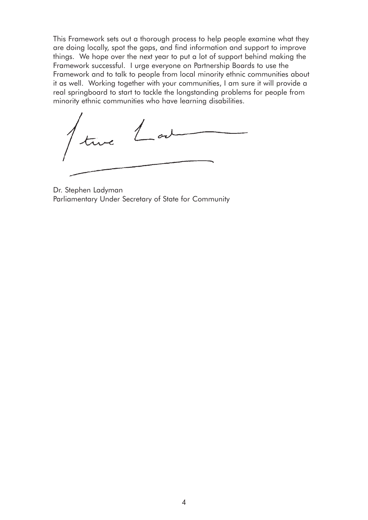This Framework sets out a thorough process to help people examine what they are doing locally, spot the gaps, and find information and support to improve things. We hope over the next year to put a lot of support behind making the Framework successful. I urge everyone on Partnership Boards to use the Framework and to talk to people from local minority ethnic communities about it as well. Working together with your communities, I am sure it will provide a real springboard to start to tackle the longstanding problems for people from minority ethnic communities who have learning disabilities.

 $\perp$ ar

Dr. Stephen Ladyman Parliamentary Under Secretary of State for Community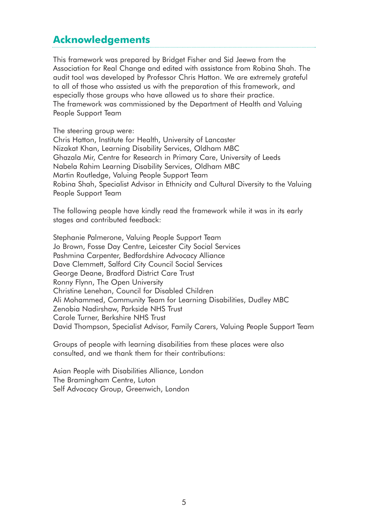# **Acknowledgements**

This framework was prepared by Bridget Fisher and Sid Jeewa from the Association for Real Change and edited with assistance from Robina Shah. The audit tool was developed by Professor Chris Hatton. We are extremely grateful to all of those who assisted us with the preparation of this framework, and especially those groups who have allowed us to share their practice. The framework was commissioned by the Department of Health and Valuing People Support Team

The steering group were:

Chris Hatton, Institute for Health, University of Lancaster Nizakat Khan, Learning Disability Services, Oldham MBC Ghazala Mir, Centre for Research in Primary Care, University of Leeds Nabela Rahim Learning Disability Services, Oldham MBC Martin Routledge, Valuing People Support Team Robina Shah, Specialist Advisor in Ethnicity and Cultural Diversity to the Valuing People Support Team

The following people have kindly read the framework while it was in its early stages and contributed feedback:

Stephanie Palmerone, Valuing People Support Team Jo Brown, Fosse Day Centre, Leicester City Social Services Pashmina Carpenter, Bedfordshire Advocacy Alliance Dave Clemmett, Salford City Council Social Services George Deane, Bradford District Care Trust Ronny Flynn, The Open University Christine Lenehan, Council for Disabled Children Ali Mohammed, Community Team for Learning Disabilities, Dudley MBC Zenobia Nadirshaw, Parkside NHS Trust Carole Turner, Berkshire NHS Trust David Thompson, Specialist Advisor, Family Carers, Valuing People Support Team

Groups of people with learning disabilities from these places were also consulted, and we thank them for their contributions:

Asian People with Disabilities Alliance, London The Bramingham Centre, Luton Self Advocacy Group, Greenwich, London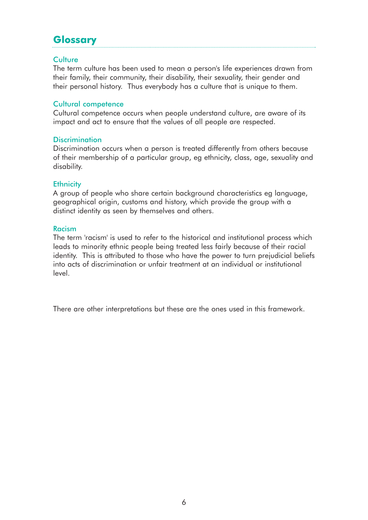# **Glossary**

#### Culture

The term culture has been used to mean a person's life experiences drawn from their family, their community, their disability, their sexuality, their gender and their personal history. Thus everybody has a culture that is unique to them.

#### Cultural competence

Cultural competence occurs when people understand culture, are aware of its impact and act to ensure that the values of all people are respected.

#### **Discrimination**

Discrimination occurs when a person is treated differently from others because of their membership of a particular group, eg ethnicity, class, age, sexuality and disability.

#### **Ethnicity**

A group of people who share certain background characteristics eg language, geographical origin, customs and history, which provide the group with a distinct identity as seen by themselves and others.

#### Racism

The term 'racism' is used to refer to the historical and institutional process which leads to minority ethnic people being treated less fairly because of their racial identity. This is attributed to those who have the power to turn prejudicial beliefs into acts of discrimination or unfair treatment at an individual or institutional level.

There are other interpretations but these are the ones used in this framework.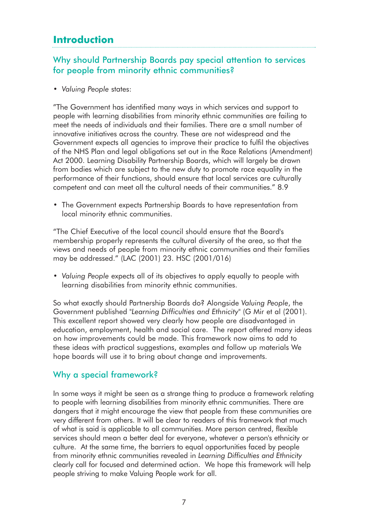# **Introduction**

# Why should Partnership Boards pay special attention to services for people from minority ethnic communities?

• *Valuing People* states:

"The Government has identified many ways in which services and support to people with learning disabilities from minority ethnic communities are failing to meet the needs of individuals and their families. There are a small number of innovative initiatives across the country. These are not widespread and the Government expects all agencies to improve their practice to fulfil the objectives of the NHS Plan and legal obligations set out in the Race Relations (Amendment) Act 2000. Learning Disability Partnership Boards, which will largely be drawn from bodies which are subject to the new duty to promote race equality in the performance of their functions, should ensure that local services are culturally competent and can meet all the cultural needs of their communities." 8.9

• The Government expects Partnership Boards to have representation from local minority ethnic communities.

"The Chief Executive of the local council should ensure that the Board's membership properly represents the cultural diversity of the area, so that the views and needs of people from minority ethnic communities and their families may be addressed." (LAC (2001) 23. HSC (2001/016)

• *Valuing People* expects all of its objectives to apply equally to people with learning disabilities from minority ethnic communities.

So what exactly should Partnership Boards do? Alongside *Valuing People*, the Government published "*Learning Difficulties and Ethnicity*" (G Mir et al (2001). This excellent report showed very clearly how people are disadvantaged in education, employment, health and social care. The report offered many ideas on how improvements could be made. This framework now aims to add to these ideas with practical suggestions, examples and follow up materials We hope boards will use it to bring about change and improvements.

# Why a special framework?

In some ways it might be seen as a strange thing to produce a framework relating to people with learning disabilities from minority ethnic communities. There are dangers that it might encourage the view that people from these communities are very different from others. It will be clear to readers of this framework that much of what is said is applicable to all communities. More person centred, flexible services should mean a better deal for everyone, whatever a person's ethnicity or culture. At the same time, the barriers to equal opportunities faced by people from minority ethnic communities revealed in *Learning Difficulties and Ethnicity* clearly call for focused and determined action. We hope this framework will help people striving to make Valuing People work for all.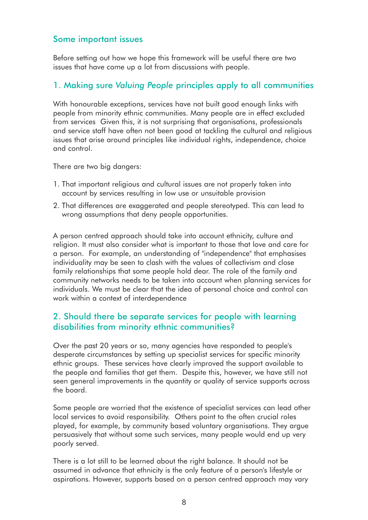## Some important issues

Before setting out how we hope this framework will be useful there are two issues that have come up a lot from discussions with people.

## 1. Making sure *Valuing People* principles apply to all communities

With honourable exceptions, services have not built good enough links with people from minority ethnic communities. Many people are in effect excluded from services Given this, it is not surprising that organisations, professionals and service staff have often not been good at tackling the cultural and religious issues that arise around principles like individual rights, independence, choice and control.

There are two big dangers:

- 1. That important religious and cultural issues are not properly taken into account by services resulting in low use or unsuitable provision
- 2. That differences are exaggerated and people stereotyped. This can lead to wrong assumptions that deny people opportunities.

A person centred approach should take into account ethnicity, culture and religion. It must also consider what is important to those that love and care for a person. For example, an understanding of "independence" that emphasises individuality may be seen to clash with the values of collectivism and close family relationships that some people hold dear. The role of the family and community networks needs to be taken into account when planning services for individuals. We must be clear that the idea of personal choice and control can work within a context of interdependence

# 2. Should there be separate services for people with learning disabilities from minority ethnic communities?

Over the past 20 years or so, many agencies have responded to people's desperate circumstances by setting up specialist services for specific minority ethnic groups. These services have clearly improved the support available to the people and families that get them. Despite this, however, we have still not seen general improvements in the quantity or quality of service supports across the board.

Some people are worried that the existence of specialist services can lead other local services to avoid responsibility. Others point to the often crucial roles played, for example, by community based voluntary organisations. They argue persuasively that without some such services, many people would end up very poorly served.

There is a lot still to be learned about the right balance. It should not be assumed in advance that ethnicity is the only feature of a person's lifestyle or aspirations. However, supports based on a person centred approach may vary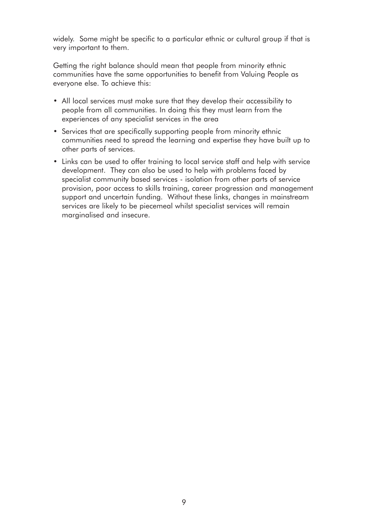widely. Some might be specific to a particular ethnic or cultural group if that is very important to them.

Getting the right balance should mean that people from minority ethnic communities have the same opportunities to benefit from Valuing People as everyone else. To achieve this:

- All local services must make sure that they develop their accessibility to people from all communities. In doing this they must learn from the experiences of any specialist services in the area
- Services that are specifically supporting people from minority ethnic communities need to spread the learning and expertise they have built up to other parts of services.
- Links can be used to offer training to local service staff and help with service development. They can also be used to help with problems faced by specialist community based services - isolation from other parts of service provision, poor access to skills training, career progression and management support and uncertain funding. Without these links, changes in mainstream services are likely to be piecemeal whilst specialist services will remain marginalised and insecure.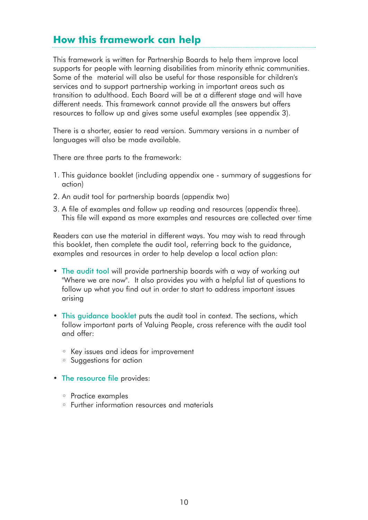# **How this framework can help**

This framework is written for Partnership Boards to help them improve local supports for people with learning disabilities from minority ethnic communities. Some of the material will also be useful for those responsible for children's services and to support partnership working in important areas such as transition to adulthood. Each Board will be at a different stage and will have different needs. This framework cannot provide all the answers but offers resources to follow up and gives some useful examples (see appendix 3).

There is a shorter, easier to read version. Summary versions in a number of languages will also be made available.

There are three parts to the framework:

- 1. This guidance booklet (including appendix one summary of suggestions for action)
- 2. An audit tool for partnership boards (appendix two)
- 3. A file of examples and follow up reading and resources (appendix three). This file will expand as more examples and resources are collected over time

Readers can use the material in different ways. You may wish to read through this booklet, then complete the audit tool, referring back to the guidance, examples and resources in order to help develop a local action plan:

- The audit tool will provide partnership boards with a way of working out "Where we are now". It also provides you with a helpful list of questions to follow up what you find out in order to start to address important issues arising
- This guidance booklet puts the audit tool in context. The sections, which follow important parts of Valuing People, cross reference with the audit tool and offer:
	- Key issues and ideas for improvement
	- Suggestions for action
- The resource file provides:
	- Practice examples
	- Further information resources and materials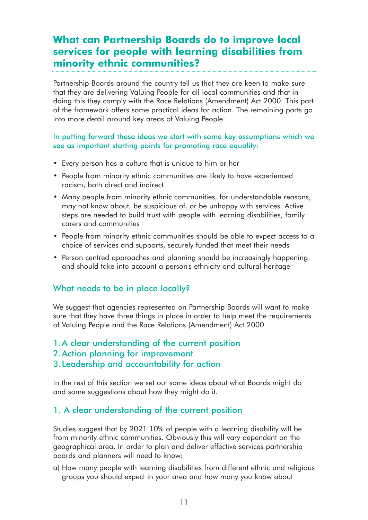# **What can Partnership Boards do to improve local services for people with learning disabilities from minority ethnic communities?**

Partnership Boards around the country tell us that they are keen to make sure that they are delivering Valuing People for all local communities and that in doing this they comply with the Race Relations (Amendment) Act 2000. This part of the framework offers some practical ideas for action. The remaining parts go into more detail around key areas of Valuing People.

#### In putting forward these ideas we start with some key assumptions which we see as important starting points for promoting race equality:

- Every person has a culture that is unique to him or her
- People from minority ethnic communities are likely to have experienced racism, both direct and indirect
- Many people from minority ethnic communities, for understandable reasons, may not know about, be suspicious of, or be unhappy with services. Active steps are needed to build trust with people with learning disabilities, family carers and communities
- People from minority ethnic communities should be able to expect access to a choice of services and supports, securely funded that meet their needs
- Person centred approaches and planning should be increasingly happening and should take into account a person's ethnicity and cultural heritage

# What needs to be in place locally?

We suggest that agencies represented on Partnership Boards will want to make sure that they have three things in place in order to help meet the requirements of Valuing People and the Race Relations (Amendment) Act 2000

1.A clear understanding of the current position

2.Action planning for improvement

## 3.Leadership and accountability for action

In the rest of this section we set out some ideas about what Boards might do and some suggestions about how they might do it.

# 1. A clear understanding of the current position

Studies suggest that by 2021 10% of people with a learning disability will be from minority ethnic communities. Obviously this will vary dependent on the geographical area. In order to plan and deliver effective services partnership boards and planners will need to know:

a) How many people with learning disabilities from different ethnic and religious groups you should expect in your area and how many you know about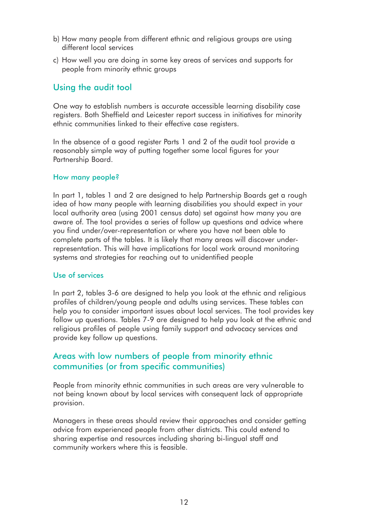- b) How many people from different ethnic and religious groups are using different local services
- c) How well you are doing in some key areas of services and supports for people from minority ethnic groups

# Using the audit tool

One way to establish numbers is accurate accessible learning disability case registers. Both Sheffield and Leicester report success in initiatives for minority ethnic communities linked to their effective case registers.

In the absence of a good register Parts 1 and 2 of the audit tool provide a reasonably simple way of putting together some local figures for your Partnership Board.

#### How many people?

In part 1, tables 1 and 2 are designed to help Partnership Boards get a rough idea of how many people with learning disabilities you should expect in your local authority area (using 2001 census data) set against how many you are aware of. The tool provides a series of follow up questions and advice where you find under/over-representation or where you have not been able to complete parts of the tables. It is likely that many areas will discover underrepresentation. This will have implications for local work around monitoring systems and strategies for reaching out to unidentified people

#### Use of services

In part 2, tables 3-6 are designed to help you look at the ethnic and religious profiles of children/young people and adults using services. These tables can help you to consider important issues about local services. The tool provides key follow up questions. Tables 7-9 are designed to help you look at the ethnic and religious profiles of people using family support and advocacy services and provide key follow up questions.

# Areas with low numbers of people from minority ethnic communities (or from specific communities)

People from minority ethnic communities in such areas are very vulnerable to not being known about by local services with consequent lack of appropriate provision.

Managers in these areas should review their approaches and consider getting advice from experienced people from other districts. This could extend to sharing expertise and resources including sharing bi-lingual staff and community workers where this is feasible.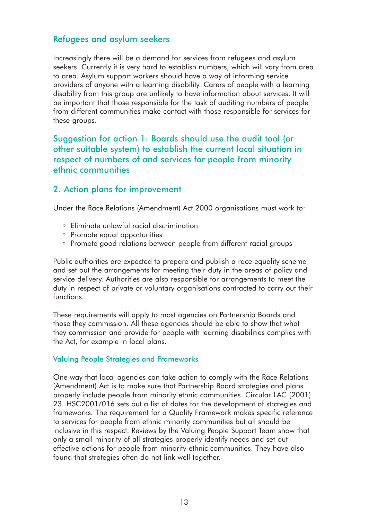## Refugees and asylum seekers

Increasingly there will be a demand for services from refugees and asylum seekers. Currently it is very hard to establish numbers, which will vary from area to area. Asylum support workers should have a way of informing service providers of anyone with a learning disability. Carers of people with a learning disability from this group are unlikely to have information about services. It will be important that those responsible for the task of auditing numbers of people from different communities make contact with those responsible for services for these groups.

# Suggestion for action 1: Boards should use the audit tool (or other suitable system) to establish the current local situation in respect of numbers of and services for people from minority ethnic communities

## 2. Action plans for improvement

Under the Race Relations (Amendment) Act 2000 organisations must work to:

- Eliminate unlawful racial discrimination
- Promote equal opportunities
- Promote good relations between people from different racial groups

Public authorities are expected to prepare and publish a race equality scheme and set out the arrangements for meeting their duty in the areas of policy and service delivery. Authorities are also responsible for arrangements to meet the duty in respect of private or voluntary organisations contracted to carry out their functions.

These requirements will apply to most agencies on Partnership Boards and those they commission. All these agencies should be able to show that what they commission and provide for people with learning disabilities complies with the Act, for example in local plans.

#### Valuing People Strategies and Frameworks

One way that local agencies can take action to comply with the Race Relations (Amendment) Act is to make sure that Partnership Board strategies and plans properly include people from minority ethnic communities. Circular LAC (2001) 23. HSC2001/016 sets out a list of dates for the development of strategies and frameworks. The requirement for a Quality Framework makes specific reference to services for people from ethnic minority communities but all should be inclusive in this respect. Reviews by the Valuing People Support Team show that only a small minority of all strategies properly identify needs and set out effective actions for people from minority ethnic communities. They have also found that strategies often do not link well together.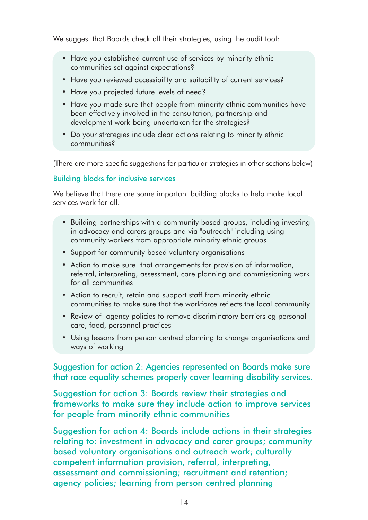We suggest that Boards check all their strategies, using the audit tool:

- Have you established current use of services by minority ethnic communities set against expectations?
- Have you reviewed accessibility and suitability of current services?
- Have you projected future levels of need?
- Have you made sure that people from minority ethnic communities have been effectively involved in the consultation, partnership and development work being undertaken for the strategies?
- Do your strategies include clear actions relating to minority ethnic communities?

(There are more specific suggestions for particular strategies in other sections below)

#### Building blocks for inclusive services

We believe that there are some important building blocks to help make local services work for all:

- Building partnerships with a community based groups, including investing in advocacy and carers groups and via "outreach" including using community workers from appropriate minority ethnic groups
- Support for community based voluntary organisations
- Action to make sure that arrangements for provision of information, referral, interpreting, assessment, care planning and commissioning work for all communities
- Action to recruit, retain and support staff from minority ethnic communities to make sure that the workforce reflects the local community
- Review of agency policies to remove discriminatory barriers eg personal care, food, personnel practices
- Using lessons from person centred planning to change organisations and ways of working

Suggestion for action 2: Agencies represented on Boards make sure that race equality schemes properly cover learning disability services.

Suggestion for action 3: Boards review their strategies and frameworks to make sure they include action to improve services for people from minority ethnic communities

Suggestion for action 4: Boards include actions in their strategies relating to: investment in advocacy and carer groups; community based voluntary organisations and outreach work; culturally competent information provision, referral, interpreting, assessment and commissioning; recruitment and retention; agency policies; learning from person centred planning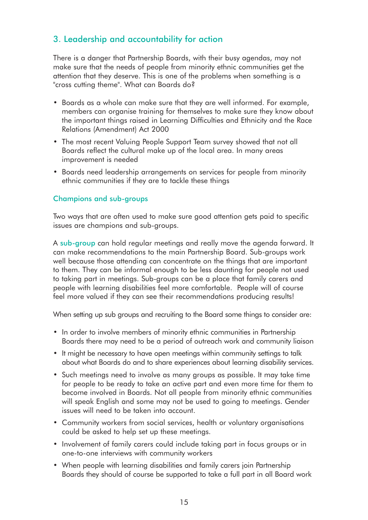# 3. Leadership and accountability for action

There is a danger that Partnership Boards, with their busy agendas, may not make sure that the needs of people from minority ethnic communities get the attention that they deserve. This is one of the problems when something is a "cross cutting theme". What can Boards do?

- Boards as a whole can make sure that they are well informed. For example, members can organise training for themselves to make sure they know about the important things raised in Learning Difficulties and Ethnicity and the Race Relations (Amendment) Act 2000
- The most recent Valuing People Support Team survey showed that not all Boards reflect the cultural make up of the local area. In many areas improvement is needed
- Boards need leadership arrangements on services for people from minority ethnic communities if they are to tackle these things

#### Champions and sub-groups

Two ways that are often used to make sure good attention gets paid to specific issues are champions and sub-groups.

A sub-group can hold regular meetings and really move the agenda forward. It can make recommendations to the main Partnership Board. Sub-groups work well because those attending can concentrate on the things that are important to them. They can be informal enough to be less daunting for people not used to taking part in meetings. Sub-groups can be a place that family carers and people with learning disabilities feel more comfortable. People will of course feel more valued if they can see their recommendations producing results!

When setting up sub groups and recruiting to the Board some things to consider are:

- In order to involve members of minority ethnic communities in Partnership Boards there may need to be a period of outreach work and community liaison
- It might be necessary to have open meetings within community settings to talk about what Boards do and to share experiences about learning disability services.
- Such meetings need to involve as many groups as possible. It may take time for people to be ready to take an active part and even more time for them to become involved in Boards. Not all people from minority ethnic communities will speak English and some may not be used to going to meetings. Gender issues will need to be taken into account.
- Community workers from social services, health or voluntary organisations could be asked to help set up these meetings.
- Involvement of family carers could include taking part in focus groups or in one-to-one interviews with community workers
- When people with learning disabilities and family carers join Partnership Boards they should of course be supported to take a full part in all Board work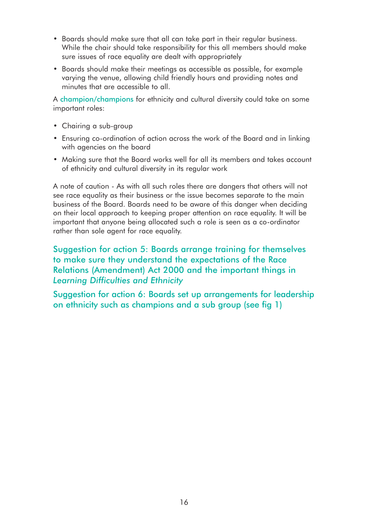- Boards should make sure that all can take part in their regular business. While the chair should take responsibility for this all members should make sure issues of race equality are dealt with appropriately
- Boards should make their meetings as accessible as possible, for example varying the venue, allowing child friendly hours and providing notes and minutes that are accessible to all.

A champion/champions for ethnicity and cultural diversity could take on some important roles:

- Chairing a sub-group
- Ensuring co-ordination of action across the work of the Board and in linking with agencies on the board
- Making sure that the Board works well for all its members and takes account of ethnicity and cultural diversity in its regular work

A note of caution - As with all such roles there are dangers that others will not see race equality as their business or the issue becomes separate to the main business of the Board. Boards need to be aware of this danger when deciding on their local approach to keeping proper attention on race equality. It will be important that anyone being allocated such a role is seen as a co-ordinator rather than sole agent for race equality.

Suggestion for action 5: Boards arrange training for themselves to make sure they understand the expectations of the Race Relations (Amendment) Act 2000 and the important things in *Learning Difficulties and Ethnicity*

Suggestion for action 6: Boards set up arrangements for leadership on ethnicity such as champions and a sub group (see fig 1)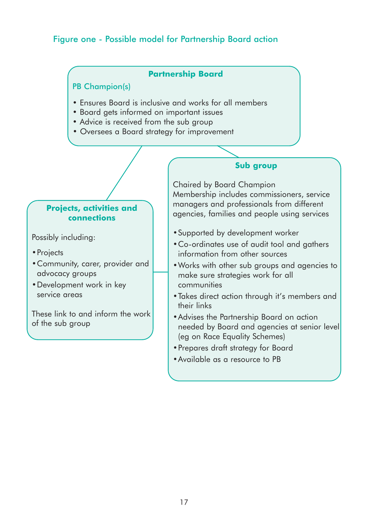# Figure one - Possible model for Partnership Board action

#### **Partnership Board**

#### PB Champion(s)

- Ensures Board is inclusive and works for all members
- Board gets informed on important issues
- Advice is received from the sub group
- Oversees a Board strategy for improvement

#### **Projects, activities and connections**

Possibly including:

- •Projects
- •Community, carer, provider and advocacy groups
- •Development work in key service areas

These link to and inform the work of the sub group

#### **Sub group**

Chaired by Board Champion Membership includes commissioners, service managers and professionals from different agencies, families and people using services

- •Supported by development worker
- •Co-ordinates use of audit tool and gathers information from other sources
- •Works with other sub groups and agencies to make sure strategies work for all communities
- •Takes direct action through it's members and their links
- •Advises the Partnership Board on action needed by Board and agencies at senior level (eg on Race Equality Schemes)
- •Prepares draft strategy for Board
- •Available as a resource to PB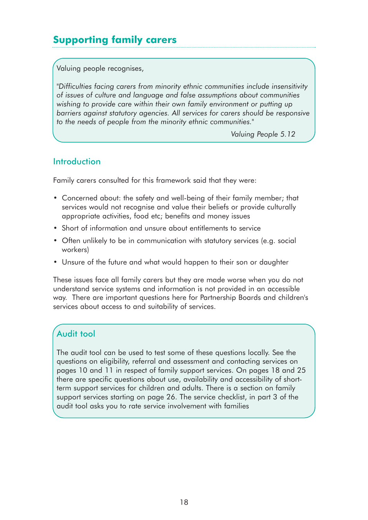# **Supporting family carers**

Valuing people recognises,

*"Difficulties facing carers from minority ethnic communities include insensitivity of issues of culture and language and false assumptions about communities wishing to provide care within their own family environment or putting up barriers against statutory agencies. All services for carers should be responsive to the needs of people from the minority ethnic communities."*

*Valuing People 5.12*

# **Introduction**

Family carers consulted for this framework said that they were:

- Concerned about: the safety and well-being of their family member; that services would not recognise and value their beliefs or provide culturally appropriate activities, food etc; benefits and money issues
- Short of information and unsure about entitlements to service
- Often unlikely to be in communication with statutory services (e.g. social workers)
- Unsure of the future and what would happen to their son or daughter

These issues face all family carers but they are made worse when you do not understand service systems and information is not provided in an accessible way. There are important questions here for Partnership Boards and children's services about access to and suitability of services.

# Audit tool

The audit tool can be used to test some of these questions locally. See the questions on eligibility, referral and assessment and contacting services on pages 10 and 11 in respect of family support services. On pages 18 and 25 there are specific questions about use, availability and accessibility of shortterm support services for children and adults. There is a section on family support services starting on page 26. The service checklist, in part 3 of the audit tool asks you to rate service involvement with families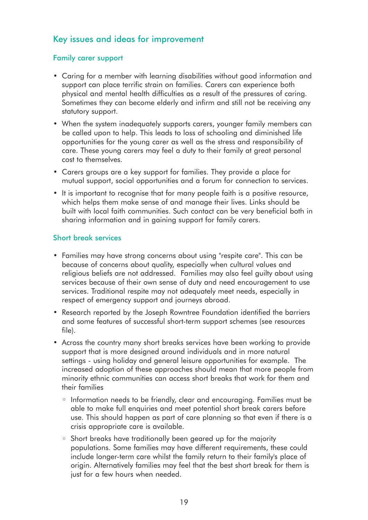# Key issues and ideas for improvement

#### Family carer support

- Caring for a member with learning disabilities without good information and support can place terrific strain on families. Carers can experience both physical and mental health difficulties as a result of the pressures of caring. Sometimes they can become elderly and infirm and still not be receiving any statutory support.
- When the system inadequately supports carers, younger family members can be called upon to help. This leads to loss of schooling and diminished life opportunities for the young carer as well as the stress and responsibility of care. These young carers may feel a duty to their family at great personal cost to themselves.
- Carers groups are a key support for families. They provide a place for mutual support, social opportunities and a forum for connection to services.
- It is important to recognise that for many people faith is a positive resource, which helps them make sense of and manage their lives. Links should be built with local faith communities. Such contact can be very beneficial both in sharing information and in gaining support for family carers.

#### Short break services

- Families may have strong concerns about using "respite care". This can be because of concerns about quality, especially when cultural values and religious beliefs are not addressed. Families may also feel guilty about using services because of their own sense of duty and need encouragement to use services. Traditional respite may not adequately meet needs, especially in respect of emergency support and journeys abroad.
- Research reported by the Joseph Rowntree Foundation identified the barriers and some features of successful short-term support schemes (see resources file).
- Across the country many short breaks services have been working to provide support that is more designed around individuals and in more natural settings - using holiday and general leisure opportunities for example. The increased adoption of these approaches should mean that more people from minority ethnic communities can access short breaks that work for them and their families
	- Information needs to be friendly, clear and encouraging. Families must be able to make full enquiries and meet potential short break carers before use. This should happen as part of care planning so that even if there is a crisis appropriate care is available.
	- Short breaks have traditionally been geared up for the majority populations. Some families may have different requirements, these could include longer-term care whilst the family return to their family's place of origin. Alternatively families may feel that the best short break for them is just for a few hours when needed.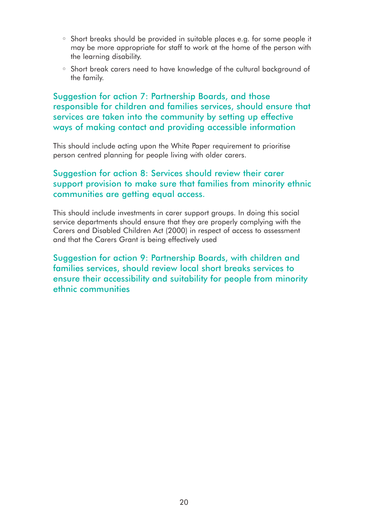- Short breaks should be provided in suitable places e.g. for some people it may be more appropriate for staff to work at the home of the person with the learning disability.
- Short break carers need to have knowledge of the cultural background of the family.

Suggestion for action 7: Partnership Boards, and those responsible for children and families services, should ensure that services are taken into the community by setting up effective ways of making contact and providing accessible information

This should include acting upon the White Paper requirement to prioritise person centred planning for people living with older carers.

# Suggestion for action 8: Services should review their carer support provision to make sure that families from minority ethnic communities are getting equal access.

This should include investments in carer support groups. In doing this social service departments should ensure that they are properly complying with the Carers and Disabled Children Act (2000) in respect of access to assessment and that the Carers Grant is being effectively used

Suggestion for action 9: Partnership Boards, with children and families services, should review local short breaks services to ensure their accessibility and suitability for people from minority ethnic communities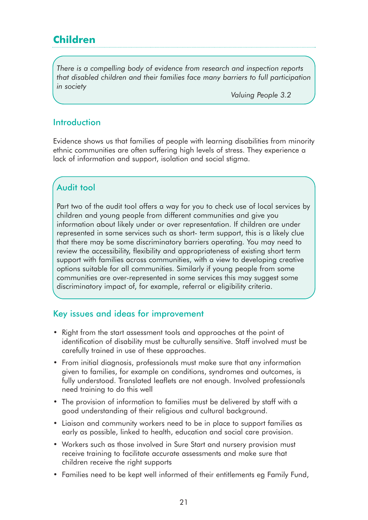# **Children**

*There is a compelling body of evidence from research and inspection reports that disabled children and their families face many barriers to full participation in society*

*Valuing People 3.2*

#### **Introduction**

Evidence shows us that families of people with learning disabilities from minority ethnic communities are often suffering high levels of stress. They experience a lack of information and support, isolation and social stigma.

# Audit tool

Part two of the audit tool offers a way for you to check use of local services by children and young people from different communities and give you information about likely under or over representation. If children are under represented in some services such as short- term support, this is a likely clue that there may be some discriminatory barriers operating. You may need to review the accessibility, flexibility and appropriateness of existing short term support with families across communities, with a view to developing creative options suitable for all communities. Similarly if young people from some communities are over-represented in some services this may suggest some discriminatory impact of, for example, referral or eligibility criteria.

#### Key issues and ideas for improvement

- Right from the start assessment tools and approaches at the point of identification of disability must be culturally sensitive. Staff involved must be carefully trained in use of these approaches.
- From initial diagnosis, professionals must make sure that any information given to families, for example on conditions, syndromes and outcomes, is fully understood. Translated leaflets are not enough. Involved professionals need training to do this well
- The provision of information to families must be delivered by staff with a good understanding of their religious and cultural background.
- Liaison and community workers need to be in place to support families as early as possible, linked to health, education and social care provision.
- Workers such as those involved in Sure Start and nursery provision must receive training to facilitate accurate assessments and make sure that children receive the right supports
- Families need to be kept well informed of their entitlements eg Family Fund,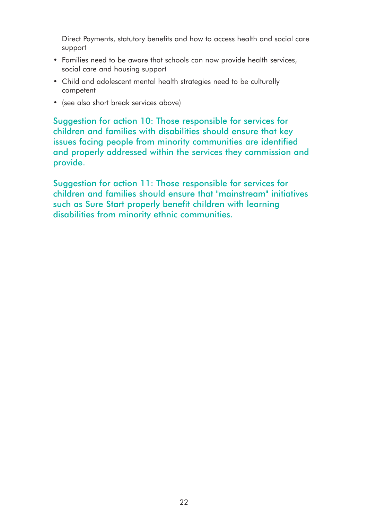Direct Payments, statutory benefits and how to access health and social care support

- Families need to be aware that schools can now provide health services, social care and housing support
- Child and adolescent mental health strategies need to be culturally competent
- (see also short break services above)

Suggestion for action 10: Those responsible for services for children and families with disabilities should ensure that key issues facing people from minority communities are identified and properly addressed within the services they commission and provide.

Suggestion for action 11: Those responsible for services for children and families should ensure that "mainstream" initiatives such as Sure Start properly benefit children with learning disabilities from minority ethnic communities.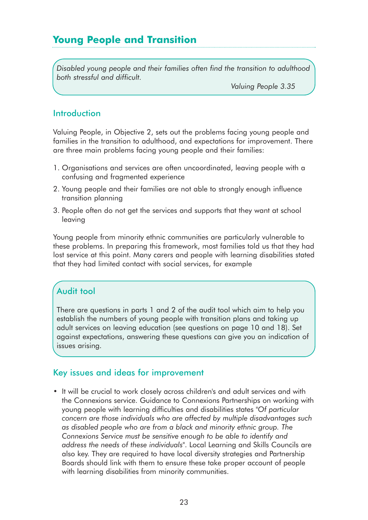# **Young People and Transition**

*Disabled young people and their families often find the transition to adulthood both stressful and difficult.* 

*Valuing People 3.35*

## **Introduction**

Valuing People, in Objective 2, sets out the problems facing young people and families in the transition to adulthood, and expectations for improvement. There are three main problems facing young people and their families:

- 1. Organisations and services are often uncoordinated, leaving people with a confusing and fragmented experience
- 2. Young people and their families are not able to strongly enough influence transition planning
- 3. People often do not get the services and supports that they want at school leaving

Young people from minority ethnic communities are particularly vulnerable to these problems. In preparing this framework, most families told us that they had lost service at this point. Many carers and people with learning disabilities stated that they had limited contact with social services, for example

# Audit tool

There are questions in parts 1 and 2 of the audit tool which aim to help you establish the numbers of young people with transition plans and taking up adult services on leaving education (see questions on page 10 and 18). Set against expectations, answering these questions can give you an indication of issues arising.

#### Key issues and ideas for improvement

• It will be crucial to work closely across children's and adult services and with the Connexions service. Guidance to Connexions Partnerships on working with young people with learning difficulties and disabilities states "*Of particular concern are those individuals who are affected by multiple disadvantages such as disabled people who are from a black and minority ethnic group. The Connexions Service must be sensitive enough to be able to identify and address the needs of these individuals*". Local Learning and Skills Councils are also key. They are required to have local diversity strategies and Partnership Boards should link with them to ensure these take proper account of people with learning disabilities from minority communities.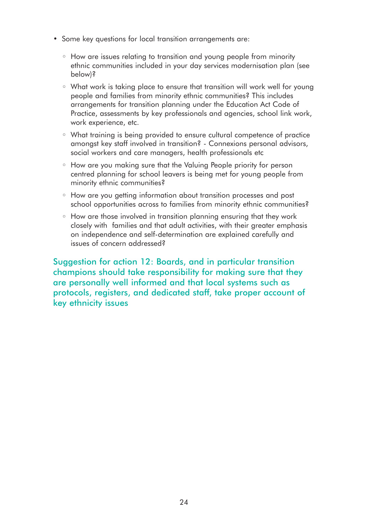- Some key questions for local transition arrangements are:
	- How are issues relating to transition and young people from minority ethnic communities included in your day services modernisation plan (see below)?
	- What work is taking place to ensure that transition will work well for young people and families from minority ethnic communities? This includes arrangements for transition planning under the Education Act Code of Practice, assessments by key professionals and agencies, school link work, work experience, etc.
	- What training is being provided to ensure cultural competence of practice amongst key staff involved in transition? - Connexions personal advisors, social workers and care managers, health professionals etc
	- How are you making sure that the Valuing People priority for person centred planning for school leavers is being met for young people from minority ethnic communities?
	- How are you getting information about transition processes and post school opportunities across to families from minority ethnic communities?
	- How are those involved in transition planning ensuring that they work closely with families and that adult activities, with their greater emphasis on independence and self-determination are explained carefully and issues of concern addressed?

Suggestion for action 12: Boards, and in particular transition champions should take responsibility for making sure that they are personally well informed and that local systems such as protocols, registers, and dedicated staff, take proper account of key ethnicity issues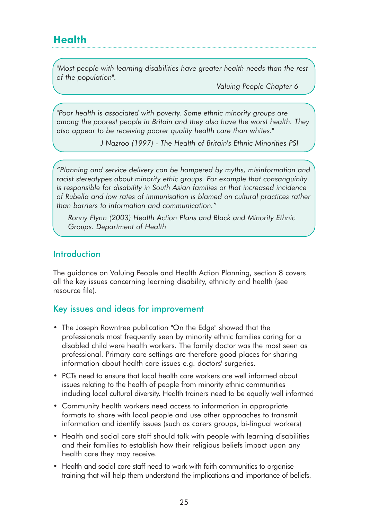*"Most people with learning disabilities have greater health needs than the rest of the population".*

*Valuing People Chapter 6*

*"Poor health is associated with poverty. Some ethnic minority groups are among the poorest people in Britain and they also have the worst health. They also appear to be receiving poorer quality health care than whites."*

*J Nazroo (1997) - The Health of Britain's Ethnic Minorities PSI* 

*"Planning and service delivery can be hampered by myths, misinformation and racist stereotypes about minority ethic groups. For example that consanguinity is responsible for disability in South Asian families or that increased incidence of Rubella and low rates of immunisation is blamed on cultural practices rather than barriers to information and communication."* 

*Ronny Flynn (2003) Health Action Plans and Black and Minority Ethnic Groups. Department of Health*

## Introduction

The guidance on Valuing People and Health Action Planning, section 8 covers all the key issues concerning learning disability, ethnicity and health (see resource file).

# Key issues and ideas for improvement

- The Joseph Rowntree publication "On the Edge" showed that the professionals most frequently seen by minority ethnic families caring for a disabled child were health workers. The family doctor was the most seen as professional. Primary care settings are therefore good places for sharing information about health care issues e.g. doctors' surgeries.
- PCTs need to ensure that local health care workers are well informed about issues relating to the health of people from minority ethnic communities including local cultural diversity. Health trainers need to be equally well informed
- Community health workers need access to information in appropriate formats to share with local people and use other approaches to transmit information and identify issues (such as carers groups, bi-lingual workers)
- Health and social care staff should talk with people with learning disabilities and their families to establish how their religious beliefs impact upon any health care they may receive.
- Health and social care staff need to work with faith communities to organise training that will help them understand the implications and importance of beliefs.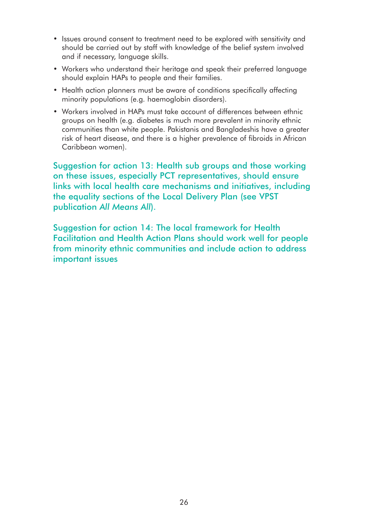- Issues around consent to treatment need to be explored with sensitivity and should be carried out by staff with knowledge of the belief system involved and if necessary, language skills.
- Workers who understand their heritage and speak their preferred language should explain HAPs to people and their families.
- Health action planners must be aware of conditions specifically affecting minority populations (e.g. haemoglobin disorders).
- Workers involved in HAPs must take account of differences between ethnic groups on health (e.g. diabetes is much more prevalent in minority ethnic communities than white people. Pakistanis and Bangladeshis have a greater risk of heart disease, and there is a higher prevalence of fibroids in African Caribbean women).

Suggestion for action 13: Health sub groups and those working on these issues, especially PCT representatives, should ensure links with local health care mechanisms and initiatives, including the equality sections of the Local Delivery Plan (see VPST publication *All Means All*).

Suggestion for action 14: The local framework for Health Facilitation and Health Action Plans should work well for people from minority ethnic communities and include action to address important issues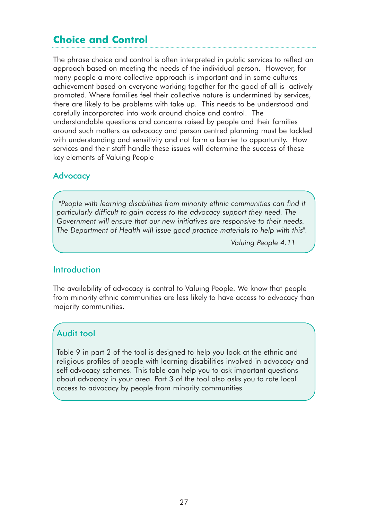# **Choice and Control**

The phrase choice and control is often interpreted in public services to reflect an approach based on meeting the needs of the individual person. However, for many people a more collective approach is important and in some cultures achievement based on everyone working together for the good of all is actively promoted. Where families feel their collective nature is undermined by services, there are likely to be problems with take up. This needs to be understood and carefully incorporated into work around choice and control. The understandable questions and concerns raised by people and their families around such matters as advocacy and person centred planning must be tackled with understanding and sensitivity and not form a barrier to opportunity. How services and their staff handle these issues will determine the success of these key elements of Valuing People

#### **Advocacy**

*"People with learning disabilities from minority ethnic communities can find it particularly difficult to gain access to the advocacy support they need. The Government will ensure that our new initiatives are responsive to their needs. The Department of Health will issue good practice materials to help with this".* 

*Valuing People 4.11* 

#### **Introduction**

The availability of advocacy is central to Valuing People. We know that people from minority ethnic communities are less likely to have access to advocacy than majority communities.

#### Audit tool

Table 9 in part 2 of the tool is designed to help you look at the ethnic and religious profiles of people with learning disabilities involved in advocacy and self advocacy schemes. This table can help you to ask important questions about advocacy in your area. Part 3 of the tool also asks you to rate local access to advocacy by people from minority communities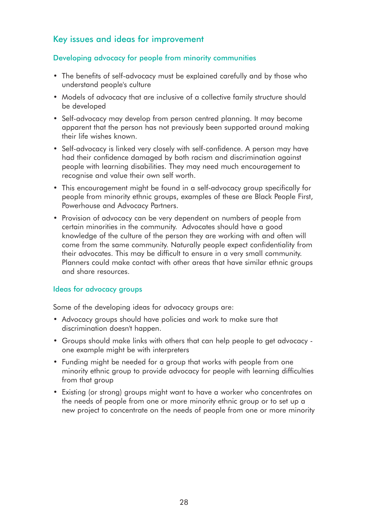# Key issues and ideas for improvement

#### Developing advocacy for people from minority communities

- The benefits of self-advocacy must be explained carefully and by those who understand people's culture
- Models of advocacy that are inclusive of a collective family structure should be developed
- Self-advocacy may develop from person centred planning. It may become apparent that the person has not previously been supported around making their life wishes known.
- Self-advocacy is linked very closely with self-confidence. A person may have had their confidence damaged by both racism and discrimination against people with learning disabilities. They may need much encouragement to recognise and value their own self worth.
- This encouragement might be found in a self-advocacy group specifically for people from minority ethnic groups, examples of these are Black People First, Powerhouse and Advocacy Partners.
- Provision of advocacy can be very dependent on numbers of people from certain minorities in the community. Advocates should have a good knowledge of the culture of the person they are working with and often will come from the same community. Naturally people expect confidentiality from their advocates. This may be difficult to ensure in a very small community. Planners could make contact with other areas that have similar ethnic groups and share resources.

#### Ideas for advocacy groups

Some of the developing ideas for advocacy groups are:

- Advocacy groups should have policies and work to make sure that discrimination doesn't happen.
- Groups should make links with others that can help people to get advocacy one example might be with interpreters
- Funding might be needed for a group that works with people from one minority ethnic group to provide advocacy for people with learning difficulties from that group
- Existing (or strong) groups might want to have a worker who concentrates on the needs of people from one or more minority ethnic group or to set up a new project to concentrate on the needs of people from one or more minority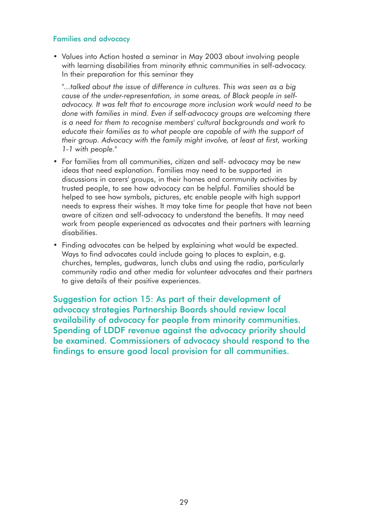#### Families and advocacy

• Values into Action hosted a seminar in May 2003 about involving people with learning disabilities from minority ethnic communities in self-advocacy. In their preparation for this seminar they

*"...talked about the issue of difference in cultures. This was seen as a big cause of the under-representation, in some areas, of Black people in selfadvocacy. It was felt that to encourage more inclusion work would need to be done with families in mind. Even if self-advocacy groups are welcoming there is a need for them to recognise members' cultural backgrounds and work to educate their families as to what people are capable of with the support of their group. Advocacy with the family might involve, at least at first, working 1-1 with people."*

- For families from all communities, citizen and self- advocacy may be new ideas that need explanation. Families may need to be supported in discussions in carers' groups, in their homes and community activities by trusted people, to see how advocacy can be helpful. Families should be helped to see how symbols, pictures, etc enable people with high support needs to express their wishes. It may take time for people that have not been aware of citizen and self-advocacy to understand the benefits. It may need work from people experienced as advocates and their partners with learning disabilities.
- Finding advocates can be helped by explaining what would be expected. Ways to find advocates could include going to places to explain, e.g. churches, temples, gudwaras, lunch clubs and using the radio, particularly community radio and other media for volunteer advocates and their partners to give details of their positive experiences.

Suggestion for action 15: As part of their development of advocacy strategies Partnership Boards should review local availability of advocacy for people from minority communities. Spending of LDDF revenue against the advocacy priority should be examined. Commissioners of advocacy should respond to the findings to ensure good local provision for all communities.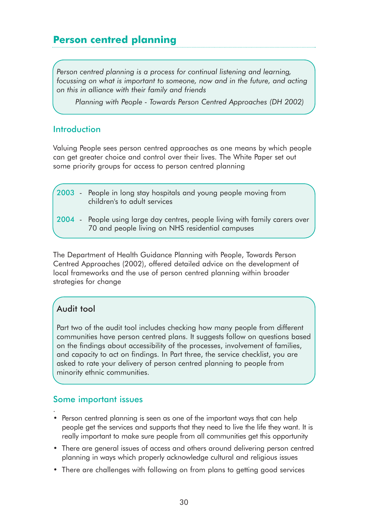# **Person centred planning**

*Person centred planning is a process for continual listening and learning, focussing on what is important to someone, now and in the future, and acting on this in alliance with their family and friends*

*Planning with People - Towards Person Centred Approaches (DH 2002)*

#### **Introduction**

Valuing People sees person centred approaches as one means by which people can get greater choice and control over their lives. The White Paper set out some priority groups for access to person centred planning

|  | (2003 - People in long stay hospitals and young people moving from<br>children's to adult services                               |  |
|--|----------------------------------------------------------------------------------------------------------------------------------|--|
|  | 2004 - People using large day centres, people living with family carers over<br>70 and people living on NHS residential campuses |  |

The Department of Health Guidance Planning with People, Towards Person Centred Approaches (2002), offered detailed advice on the development of local frameworks and the use of person centred planning within broader strategies for change

# Audit tool

.

Part two of the audit tool includes checking how many people from different communities have person centred plans. It suggests follow on questions based on the findings about accessibility of the processes, involvement of families, and capacity to act on findings. In Part three, the service checklist, you are asked to rate your delivery of person centred planning to people from minority ethnic communities.

#### Some important issues

- Person centred planning is seen as one of the important ways that can help people get the services and supports that they need to live the life they want. It is really important to make sure people from all communities get this opportunity
- There are general issues of access and others around delivering person centred planning in ways which properly acknowledge cultural and religious issues
- There are challenges with following on from plans to getting good services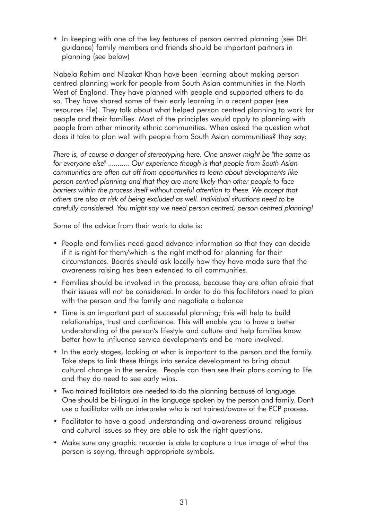• In keeping with one of the key features of person centred planning (see DH guidance) family members and friends should be important partners in planning (see below)

Nabela Rahim and Nizakat Khan have been learning about making person centred planning work for people from South Asian communities in the North West of England. They have planned with people and supported others to do so. They have shared some of their early learning in a recent paper (see resources file). They talk about what helped person centred planning to work for people and their families. Most of the principles would apply to planning with people from other minority ethnic communities. When asked the question what does it take to plan well with people from South Asian communities? they say:

*There is, of course a danger of stereotyping here. One answer might be "the same as for everyone else" ........... Our experience though is that people from South Asian communities are often cut off from opportunities to learn about developments like person centred planning and that they are more likely than other people to face barriers within the process itself without careful attention to these. We accept that others are also at risk of being excluded as well. Individual situations need to be carefully considered. You might say we need person centred, person centred planning!*

Some of the advice from their work to date is:

- People and families need good advance information so that they can decide if it is right for them/which is the right method for planning for their circumstances. Boards should ask locally how they have made sure that the awareness raising has been extended to all communities.
- Families should be involved in the process, because they are often afraid that their issues will not be considered. In order to do this facilitators need to plan with the person and the family and negotiate a balance
- Time is an important part of successful planning; this will help to build relationships, trust and confidence. This will enable you to have a better understanding of the person's lifestyle and culture and help families know better how to influence service developments and be more involved.
- In the early stages, looking at what is important to the person and the family. Take steps to link these things into service development to bring about cultural change in the service. People can then see their plans coming to life and they do need to see early wins.
- Two trained facilitators are needed to do the planning because of language. One should be bi-lingual in the language spoken by the person and family. Don't use a facilitator with an interpreter who is not trained/aware of the PCP process.
- Facilitator to have a good understanding and awareness around religious and cultural issues so they are able to ask the right questions.
- Make sure any graphic recorder is able to capture a true image of what the person is saying, through appropriate symbols.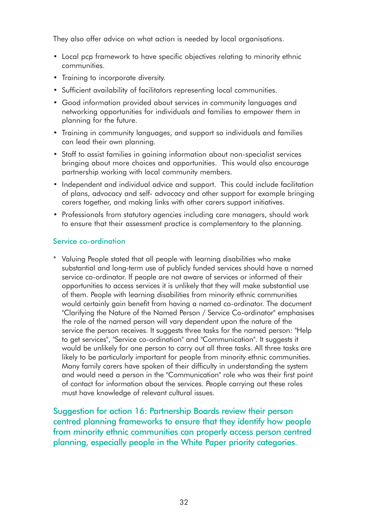They also offer advice on what action is needed by local organisations.

- Local pcp framework to have specific objectives relating to minority ethnic communities.
- Training to incorporate diversity.
- Sufficient availability of facilitators representing local communities.
- Good information provided about services in community languages and networking opportunities for individuals and families to empower them in planning for the future.
- Training in community languages, and support so individuals and families can lead their own planning.
- Staff to assist families in gaining information about non-specialist services bringing about more choices and opportunities. This would also encourage partnership working with local community members.
- Independent and individual advice and support. This could include facilitation of plans, advocacy and self- advocacy and other support for example bringing carers together, and making links with other carers support initiatives.
- Professionals from statutory agencies including care managers, should work to ensure that their assessment practice is complementary to the planning.

#### Service co-ordination

\* Valuing People stated that all people with learning disabilities who make substantial and long-term use of publicly funded services should have a named service co-ordinator. If people are not aware of services or informed of their opportunities to access services it is unlikely that they will make substantial use of them. People with learning disabilities from minority ethnic communities would certainly gain benefit from having a named co-ordinator. The document "Clarifying the Nature of the Named Person / Service Co-ordinator" emphasises the role of the named person will vary dependent upon the nature of the service the person receives. It suggests three tasks for the named person: "Help to get services", "Service co-ordination" and "Communication". It suggests it would be unlikely for one person to carry out all three tasks. All three tasks are likely to be particularly important for people from minority ethnic communities. Many family carers have spoken of their difficulty in understanding the system and would need a person in the "Communication" role who was their first point of contact for information about the services. People carrying out these roles must have knowledge of relevant cultural issues.

Suggestion for action 16: Partnership Boards review their person centred planning frameworks to ensure that they identify how people from minority ethnic communities can properly access person centred planning, especially people in the White Paper priority categories.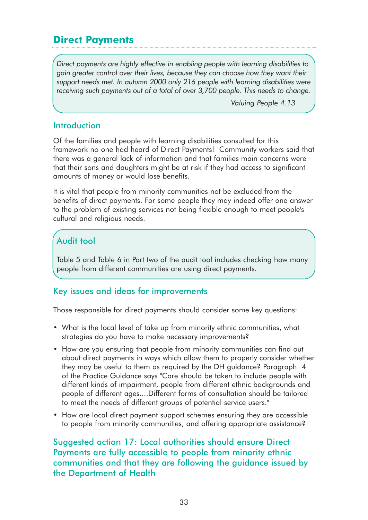# **Direct Payments**

*Direct payments are highly effective in enabling people with learning disabilities to gain greater control over their lives, because they can choose how they want their support needs met. In autumn 2000 only 216 people with learning disabilities were receiving such payments out of a total of over 3,700 people. This needs to change.*

*Valuing People 4.13*

#### Introduction

Of the families and people with learning disabilities consulted for this framework no one had heard of Direct Payments! Community workers said that there was a general lack of information and that families main concerns were that their sons and daughters might be at risk if they had access to significant amounts of money or would lose benefits.

It is vital that people from minority communities not be excluded from the benefits of direct payments. For some people they may indeed offer one answer to the problem of existing services not being flexible enough to meet people's cultural and religious needs.

# Audit tool

Table 5 and Table 6 in Part two of the audit tool includes checking how many people from different communities are using direct payments.

#### Key issues and ideas for improvements

Those responsible for direct payments should consider some key questions:

- What is the local level of take up from minority ethnic communities, what strategies do you have to make necessary improvements?
- How are you ensuring that people from minority communities can find out about direct payments in ways which allow them to properly consider whether they may be useful to them as required by the DH guidance? Paragraph 4 of the Practice Guidance says "Care should be taken to include people with different kinds of impairment, people from different ethnic backgrounds and people of different ages....Different forms of consultation should be tailored to meet the needs of different groups of potential service users."
- How are local direct payment support schemes ensuring they are accessible to people from minority communities, and offering appropriate assistance?

Suggested action 17: Local authorities should ensure Direct Payments are fully accessible to people from minority ethnic communities and that they are following the guidance issued by the Department of Health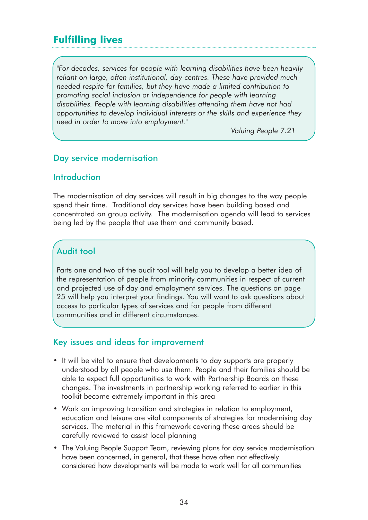# **Fulfilling lives**

*"For decades, services for people with learning disabilities have been heavily reliant on large, often institutional, day centres. These have provided much needed respite for families, but they have made a limited contribution to promoting social inclusion or independence for people with learning disabilities. People with learning disabilities attending them have not had opportunities to develop individual interests or the skills and experience they need in order to move into employment."*

*Valuing People 7.21*

## Day service modernisation

#### **Introduction**

The modernisation of day services will result in big changes to the way people spend their time. Traditional day services have been building based and concentrated on group activity. The modernisation agenda will lead to services being led by the people that use them and community based.

# Audit tool

Parts one and two of the audit tool will help you to develop a better idea of the representation of people from minority communities in respect of current and projected use of day and employment services. The questions on page 25 will help you interpret your findings. You will want to ask questions about access to particular types of services and for people from different communities and in different circumstances.

#### Key issues and ideas for improvement

- It will be vital to ensure that developments to day supports are properly understood by all people who use them. People and their families should be able to expect full opportunities to work with Partnership Boards on these changes. The investments in partnership working referred to earlier in this toolkit become extremely important in this area
- Work on improving transition and strategies in relation to employment, education and leisure are vital components of strategies for modernising day services. The material in this framework covering these areas should be carefully reviewed to assist local planning
- The Valuing People Support Team, reviewing plans for day service modernisation have been concerned, in general, that these have often not effectively considered how developments will be made to work well for all communities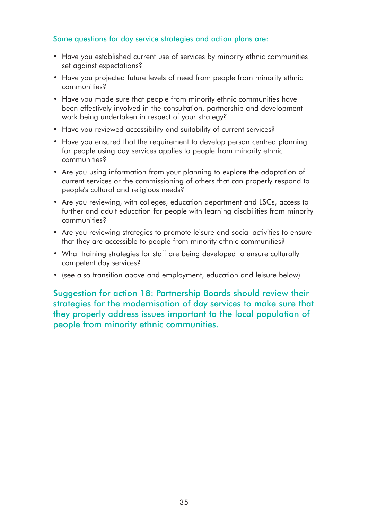#### Some questions for day service strategies and action plans are:

- Have you established current use of services by minority ethnic communities set against expectations?
- Have you projected future levels of need from people from minority ethnic communities?
- Have you made sure that people from minority ethnic communities have been effectively involved in the consultation, partnership and development work being undertaken in respect of your strategy?
- Have you reviewed accessibility and suitability of current services?
- Have you ensured that the requirement to develop person centred planning for people using day services applies to people from minority ethnic communities?
- Are you using information from your planning to explore the adaptation of current services or the commissioning of others that can properly respond to people's cultural and religious needs?
- Are you reviewing, with colleges, education department and LSCs, access to further and adult education for people with learning disabilities from minority communities?
- Are you reviewing strategies to promote leisure and social activities to ensure that they are accessible to people from minority ethnic communities?
- What training strategies for staff are being developed to ensure culturally competent day services?
- (see also transition above and employment, education and leisure below)

Suggestion for action 18: Partnership Boards should review their strategies for the modernisation of day services to make sure that they properly address issues important to the local population of people from minority ethnic communities.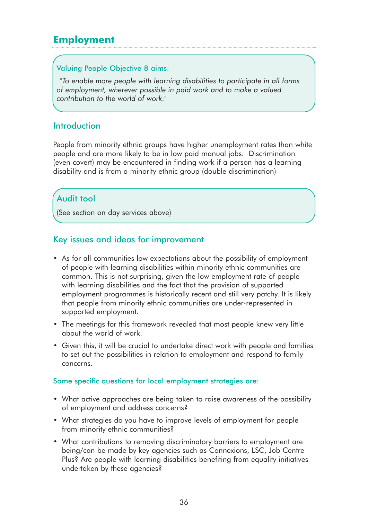# **Employment**

#### Valuing People Objective 8 aims:

*"To enable more people with learning disabilities to participate in all forms of employment, wherever possible in paid work and to make a valued contribution to the world of work."*

## Introduction

People from minority ethnic groups have higher unemployment rates than white people and are more likely to be in low paid manual jobs. Discrimination (even covert) may be encountered in finding work if a person has a learning disability and is from a minority ethnic group (double discrimination)

# Audit tool

(See section on day services above)

## Key issues and ideas for improvement

- As for all communities low expectations about the possibility of employment of people with learning disabilities within minority ethnic communities are common. This is not surprising, given the low employment rate of people with learning disabilities and the fact that the provision of supported employment programmes is historically recent and still very patchy. It is likely that people from minority ethnic communities are under-represented in supported employment.
- The meetings for this framework revealed that most people knew very little about the world of work.
- Given this, it will be crucial to undertake direct work with people and families to set out the possibilities in relation to employment and respond to family concerns.

#### Some specific questions for local employment strategies are:

- What active approaches are being taken to raise awareness of the possibility of employment and address concerns?
- What strategies do you have to improve levels of employment for people from minority ethnic communities?
- What contributions to removing discriminatory barriers to employment are being/can be made by key agencies such as Connexions, LSC, Job Centre Plus? Are people with learning disabilities benefiting from equality initiatives undertaken by these agencies?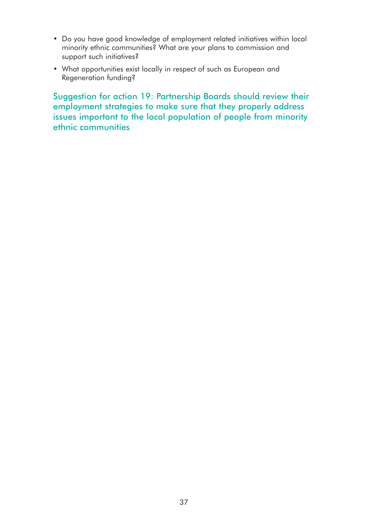- Do you have good knowledge of employment related initiatives within local minority ethnic communities? What are your plans to commission and support such initiatives?
- What opportunities exist locally in respect of such as European and Regeneration funding?

Suggestion for action 19: Partnership Boards should review their employment strategies to make sure that they properly address issues important to the local population of people from minority ethnic communities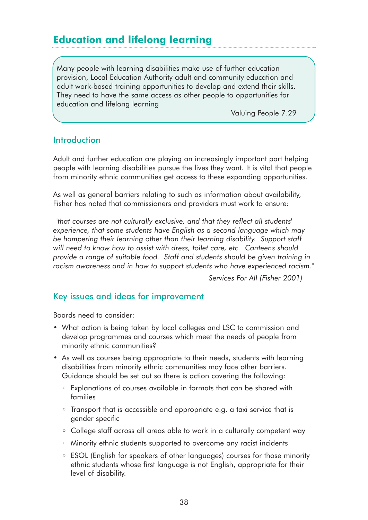# **Education and lifelong learning**

Many people with learning disabilities make use of further education provision, Local Education Authority adult and community education and adult work-based training opportunities to develop and extend their skills. They need to have the same access as other people to opportunities for education and lifelong learning

Valuing People 7.29

#### **Introduction**

Adult and further education are playing an increasingly important part helping people with learning disabilities pursue the lives they want. It is vital that people from minority ethnic communities get access to these expanding opportunities.

As well as general barriers relating to such as information about availability, Fisher has noted that commissioners and providers must work to ensure:

*"that courses are not culturally exclusive, and that they reflect all students' experience, that some students have English as a second language which may be hampering their learning other than their learning disability. Support staff will need to know how to assist with dress, toilet care, etc. Canteens should provide a range of suitable food. Staff and students should be given training in racism awareness and in how to support students who have experienced racism."* 

*Services For All (Fisher 2001)*

#### Key issues and ideas for improvement

Boards need to consider:

- What action is being taken by local colleges and LSC to commission and develop programmes and courses which meet the needs of people from minority ethnic communities?
- As well as courses being appropriate to their needs, students with learning disabilities from minority ethnic communities may face other barriers. Guidance should be set out so there is action covering the following:
	- Explanations of courses available in formats that can be shared with families
	- Transport that is accessible and appropriate e.g. a taxi service that is gender specific
	- College staff across all areas able to work in a culturally competent way
	- Minority ethnic students supported to overcome any racist incidents
	- ESOL (English for speakers of other languages) courses for those minority ethnic students whose first language is not English, appropriate for their level of disability.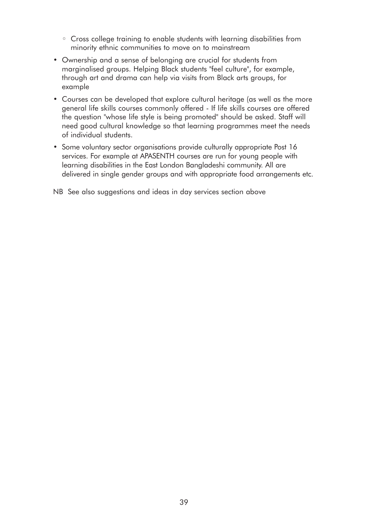- Cross college training to enable students with learning disabilities from minority ethnic communities to move on to mainstream
- Ownership and a sense of belonging are crucial for students from marginalised groups. Helping Black students "feel culture", for example, through art and drama can help via visits from Black arts groups, for example
- Courses can be developed that explore cultural heritage (as well as the more general life skills courses commonly offered - If life skills courses are offered the question "whose life style is being promoted" should be asked. Staff will need good cultural knowledge so that learning programmes meet the needs of individual students.
- Some voluntary sector organisations provide culturally appropriate Post 16 services. For example at APASENTH courses are run for young people with learning disabilities in the East London Bangladeshi community. All are delivered in single gender groups and with appropriate food arrangements etc.

NB See also suggestions and ideas in day services section above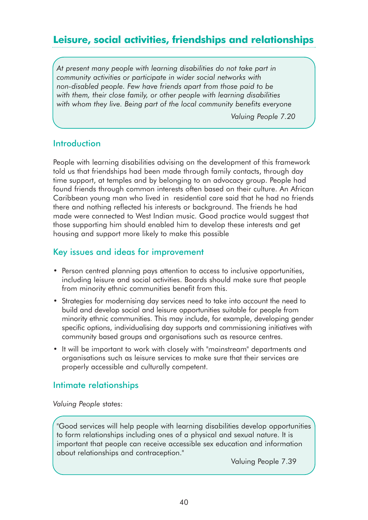# **Leisure, social activities, friendships and relationships**

*At present many people with learning disabilities do not take part in community activities or participate in wider social networks with non-disabled people. Few have friends apart from those paid to be with them, their close family, or other people with learning disabilities with whom they live. Being part of the local community benefits everyone*

*Valuing People 7.20*

## **Introduction**

People with learning disabilities advising on the development of this framework told us that friendships had been made through family contacts, through day time support, at temples and by belonging to an advocacy group. People had found friends through common interests often based on their culture. An African Caribbean young man who lived in residential care said that he had no friends there and nothing reflected his interests or background. The friends he had made were connected to West Indian music. Good practice would suggest that those supporting him should enabled him to develop these interests and get housing and support more likely to make this possible

# Key issues and ideas for improvement

- Person centred planning pays attention to access to inclusive opportunities, including leisure and social activities. Boards should make sure that people from minority ethnic communities benefit from this.
- Strategies for modernising day services need to take into account the need to build and develop social and leisure opportunities suitable for people from minority ethnic communities. This may include, for example, developing gender specific options, individualising day supports and commissioning initiatives with community based groups and organisations such as resource centres.
- It will be important to work with closely with "mainstream" departments and organisations such as leisure services to make sure that their services are properly accessible and culturally competent.

# Intimate relationships

*Valuing People* states:

"Good services will help people with learning disabilities develop opportunities to form relationships including ones of a physical and sexual nature. It is important that people can receive accessible sex education and information about relationships and contraception."

Valuing People 7.39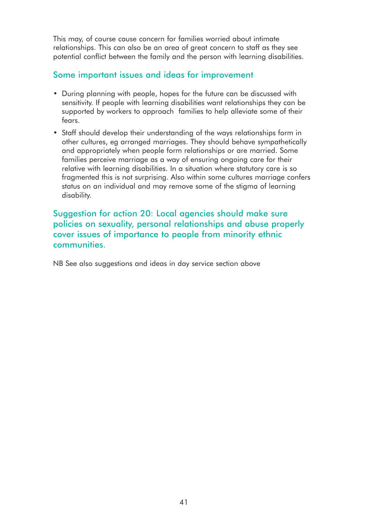This may, of course cause concern for families worried about intimate relationships. This can also be an area of great concern to staff as they see potential conflict between the family and the person with learning disabilities.

# Some important issues and ideas for improvement

- During planning with people, hopes for the future can be discussed with sensitivity. If people with learning disabilities want relationships they can be supported by workers to approach families to help alleviate some of their fears.
- Staff should develop their understanding of the ways relationships form in other cultures, eg arranged marriages. They should behave sympathetically and appropriately when people form relationships or are married. Some families perceive marriage as a way of ensuring ongoing care for their relative with learning disabilities. In a situation where statutory care is so fragmented this is not surprising. Also within some cultures marriage confers status on an individual and may remove some of the stigma of learning disability.

# Suggestion for action 20: Local agencies should make sure policies on sexuality, personal relationships and abuse properly cover issues of importance to people from minority ethnic communities.

NB See also suggestions and ideas in day service section above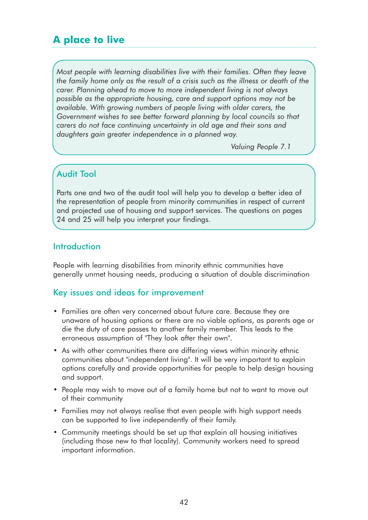# **A place to live**

*Most people with learning disabilities live with their families. Often they leave the family home only as the result of a crisis such as the illness or death of the carer. Planning ahead to move to more independent living is not always possible as the appropriate housing, care and support options may not be available. With growing numbers of people living with older carers, the Government wishes to see better forward planning by local councils so that carers do not face continuing uncertainty in old age and their sons and daughters gain greater independence in a planned way.*

*Valuing People 7.1*

# Audit Tool

Parts one and two of the audit tool will help you to develop a better idea of the representation of people from minority communities in respect of current and projected use of housing and support services. The questions on pages 24 and 25 will help you interpret your findings.

# **Introduction**

People with learning disabilities from minority ethnic communities have generally unmet housing needs, producing a situation of double discrimination

#### Key issues and ideas for improvement

- Families are often very concerned about future care. Because they are unaware of housing options or there are no viable options, as parents age or die the duty of care passes to another family member. This leads to the erroneous assumption of "They look after their own".
- As with other communities there are differing views within minority ethnic communities about "independent living". It will be very important to explain options carefully and provide opportunities for people to help design housing and support.
- People may wish to move out of a family home but not to want to move out of their community
- Families may not always realise that even people with high support needs can be supported to live independently of their family.
- Community meetings should be set up that explain all housing initiatives (including those new to that locality). Community workers need to spread important information.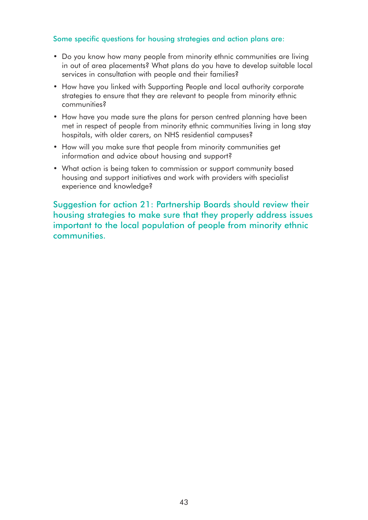#### Some specific questions for housing strategies and action plans are:

- Do you know how many people from minority ethnic communities are living in out of area placements? What plans do you have to develop suitable local services in consultation with people and their families?
- How have you linked with Supporting People and local authority corporate strategies to ensure that they are relevant to people from minority ethnic communities?
- How have you made sure the plans for person centred planning have been met in respect of people from minority ethnic communities living in long stay hospitals, with older carers, on NHS residential campuses?
- How will you make sure that people from minority communities get information and advice about housing and support?
- What action is being taken to commission or support community based housing and support initiatives and work with providers with specialist experience and knowledge?

Suggestion for action 21: Partnership Boards should review their housing strategies to make sure that they properly address issues important to the local population of people from minority ethnic communities.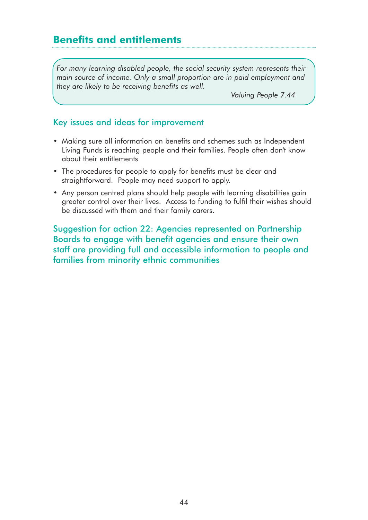# **Benefits and entitlements**

*For many learning disabled people, the social security system represents their main source of income. Only a small proportion are in paid employment and they are likely to be receiving benefits as well.*

*Valuing People 7.44*

#### Key issues and ideas for improvement

- Making sure all information on benefits and schemes such as Independent Living Funds is reaching people and their families. People often don't know about their entitlements
- The procedures for people to apply for benefits must be clear and straightforward. People may need support to apply.
- Any person centred plans should help people with learning disabilities gain greater control over their lives. Access to funding to fulfil their wishes should be discussed with them and their family carers.

Suggestion for action 22: Agencies represented on Partnership Boards to engage with benefit agencies and ensure their own staff are providing full and accessible information to people and families from minority ethnic communities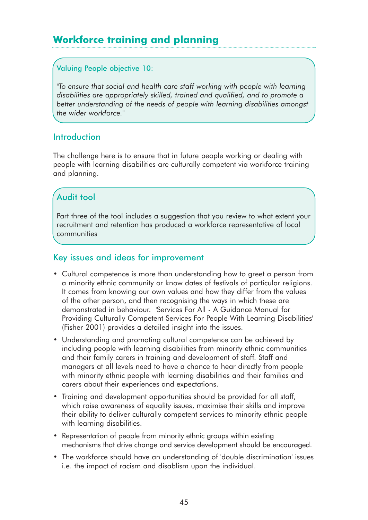# **Workforce training and planning**

#### Valuing People objective 10:

*"To ensure that social and health care staff working with people with learning disabilities are appropriately skilled, trained and qualified, and to promote a better understanding of the needs of people with learning disabilities amongst the wider workforce."* 

## **Introduction**

The challenge here is to ensure that in future people working or dealing with people with learning disabilities are culturally competent via workforce training and planning.

# Audit tool

Part three of the tool includes a suggestion that you review to what extent your recruitment and retention has produced a workforce representative of local communities

## Key issues and ideas for improvement

- Cultural competence is more than understanding how to greet a person from a minority ethnic community or know dates of festivals of particular religions. It comes from knowing our own values and how they differ from the values of the other person, and then recognising the ways in which these are demonstrated in behaviour. 'Services For All - A Guidance Manual for Providing Culturally Competent Services For People With Learning Disabilities' (Fisher 2001) provides a detailed insight into the issues.
- Understanding and promoting cultural competence can be achieved by including people with learning disabilities from minority ethnic communities and their family carers in training and development of staff. Staff and managers at all levels need to have a chance to hear directly from people with minority ethnic people with learning disabilities and their families and carers about their experiences and expectations.
- Training and development opportunities should be provided for all staff, which raise awareness of equality issues, maximise their skills and improve their ability to deliver culturally competent services to minority ethnic people with learning disabilities.
- Representation of people from minority ethnic groups within existing mechanisms that drive change and service development should be encouraged.
- The workforce should have an understanding of 'double discrimination' issues i.e. the impact of racism and disablism upon the individual.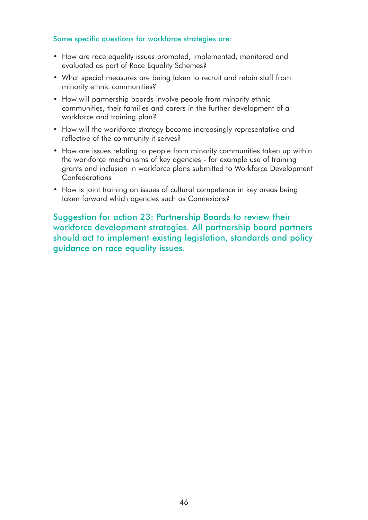#### Some specific questions for workforce strategies are:

- How are race equality issues promoted, implemented, monitored and evaluated as part of Race Equality Schemes?
- What special measures are being taken to recruit and retain staff from minority ethnic communities?
- How will partnership boards involve people from minority ethnic communities, their families and carers in the further development of a workforce and training plan?
- How will the workforce strategy become increasingly representative and reflective of the community it serves?
- How are issues relating to people from minority communities taken up within the workforce mechanisms of key agencies - for example use of training grants and inclusion in workforce plans submitted to Workforce Development Confederations
- How is joint training on issues of cultural competence in key areas being taken forward which agencies such as Connexions?

Suggestion for action 23: Partnership Boards to review their workforce development strategies. All partnership board partners should act to implement existing legislation, standards and policy guidance on race equality issues.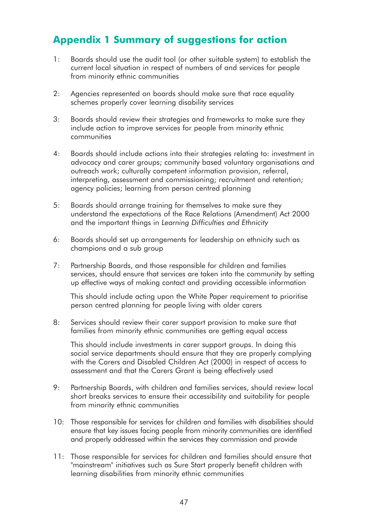# **Appendix 1 Summary of suggestions for action**

- 1: Boards should use the audit tool (or other suitable system) to establish the current local situation in respect of numbers of and services for people from minority ethnic communities
- 2: Agencies represented on boards should make sure that race equality schemes properly cover learning disability services
- 3: Boards should review their strategies and frameworks to make sure they include action to improve services for people from minority ethnic communities
- 4: Boards should include actions into their strategies relating to: investment in advocacy and carer groups; community based voluntary organisations and outreach work; culturally competent information provision, referral, interpreting, assessment and commissioning; recruitment and retention; agency policies; learning from person centred planning
- 5: Boards should arrange training for themselves to make sure they understand the expectations of the Race Relations (Amendment) Act 2000 and the important things in *Learning Difficulties and Ethnicity*
- 6: Boards should set up arrangements for leadership on ethnicity such as champions and a sub group
- 7: Partnership Boards, and those responsible for children and families services, should ensure that services are taken into the community by setting up effective ways of making contact and providing accessible information

This should include acting upon the White Paper requirement to prioritise person centred planning for people living with older carers

8: Services should review their carer support provision to make sure that families from minority ethnic communities are getting equal access

This should include investments in carer support groups. In doing this social service departments should ensure that they are properly complying with the Carers and Disabled Children Act (2000) in respect of access to assessment and that the Carers Grant is being effectively used

- 9: Partnership Boards, with children and families services, should review local short breaks services to ensure their accessibility and suitability for people from minority ethnic communities
- 10: Those responsible for services for children and families with disabilities should ensure that key issues facing people from minority communities are identified and properly addressed within the services they commission and provide
- 11: Those responsible for services for children and families should ensure that "mainstream" initiatives such as Sure Start properly benefit children with learning disabilities from minority ethnic communities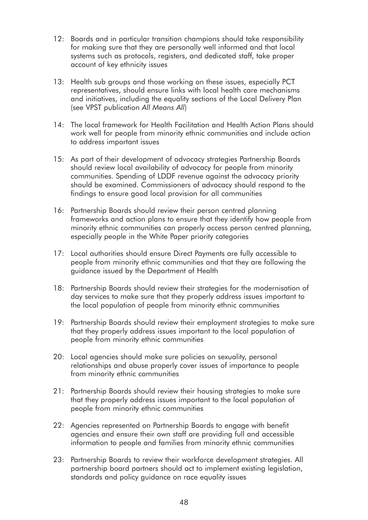- 12: Boards and in particular transition champions should take responsibility for making sure that they are personally well informed and that local systems such as protocols, registers, and dedicated staff, take proper account of key ethnicity issues
- 13: Health sub groups and those working on these issues, especially PCT representatives, should ensure links with local health care mechanisms and initiatives, including the equality sections of the Local Delivery Plan (see VPST publication *All Means All*)
- 14: The local framework for Health Facilitation and Health Action Plans should work well for people from minority ethnic communities and include action to address important issues
- 15: As part of their development of advocacy strategies Partnership Boards should review local availability of advocacy for people from minority communities. Spending of LDDF revenue against the advocacy priority should be examined. Commissioners of advocacy should respond to the findings to ensure good local provision for all communities
- 16: Partnership Boards should review their person centred planning frameworks and action plans to ensure that they identify how people from minority ethnic communities can properly access person centred planning, especially people in the White Paper priority categories
- 17: Local authorities should ensure Direct Payments are fully accessible to people from minority ethnic communities and that they are following the guidance issued by the Department of Health
- 18: Partnership Boards should review their strategies for the modernisation of day services to make sure that they properly address issues important to the local population of people from minority ethnic communities
- 19: Partnership Boards should review their employment strategies to make sure that they properly address issues important to the local population of people from minority ethnic communities
- 20: Local agencies should make sure policies on sexuality, personal relationships and abuse properly cover issues of importance to people from minority ethnic communities
- 21: Partnership Boards should review their housing strategies to make sure that they properly address issues important to the local population of people from minority ethnic communities
- 22: Agencies represented on Partnership Boards to engage with benefit agencies and ensure their own staff are providing full and accessible information to people and families from minority ethnic communities
- 23: Partnership Boards to review their workforce development strategies. All partnership board partners should act to implement existing legislation, standards and policy guidance on race equality issues